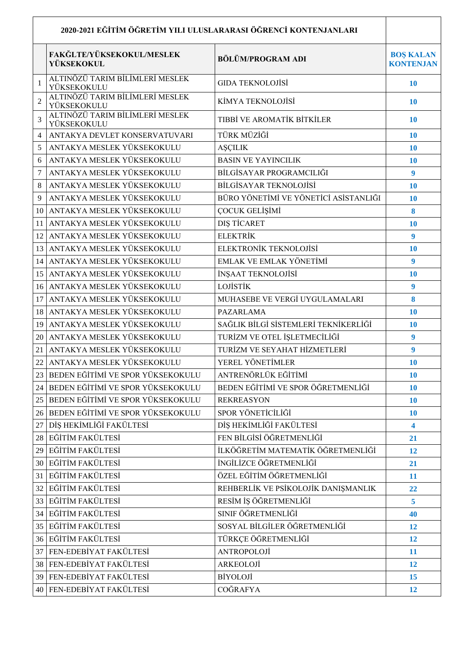| 2020-2021 EĞİTİM ÖĞRETİM YILI ULUSLARARASI ÖĞRENCİ KONTENJANLARI |                                                |                                       |                                      |  |
|------------------------------------------------------------------|------------------------------------------------|---------------------------------------|--------------------------------------|--|
|                                                                  | FAKĞLTE/YÜKSEKOKUL/MESLEK<br>YÜKSEKOKUL        | <b>BÖLÜM/PROGRAM ADI</b>              | <b>BOŞ KALAN</b><br><b>KONTENJAN</b> |  |
| $\mathbf{1}$                                                     | ALTINÖZÜ TARIM BİLİMLERİ MESLEK<br>YÜKSEKOKULU | GIDA TEKNOLOJISI                      | <b>10</b>                            |  |
| $\overline{2}$                                                   | ALTINÖZÜ TARIM BİLİMLERİ MESLEK<br>YÜKSEKOKULU | KİMYA TEKNOLOJİSİ                     | 10                                   |  |
| 3                                                                | ALTINÖZÜ TARIM BİLİMLERİ MESLEK<br>YÜKSEKOKULU | TIBBİ VE AROMATİK BİTKİLER            | 10                                   |  |
| 4                                                                | ANTAKYA DEVLET KONSERVATUVARI                  | TÜRK MÜZİĞİ                           | 10                                   |  |
| 5                                                                | ANTAKYA MESLEK YÜKSEKOKULU                     | AŞÇILIK                               | 10                                   |  |
| 6                                                                | ANTAKYA MESLEK YÜKSEKOKULU                     | <b>BASIN VE YAYINCILIK</b>            | 10                                   |  |
| 7                                                                | ANTAKYA MESLEK YÜKSEKOKULU                     | BİLGİSAYAR PROGRAMCILIĞI              | 9                                    |  |
| 8                                                                | ANTAKYA MESLEK YÜKSEKOKULU                     | <b>BİLGİSAYAR TEKNOLOJİSİ</b>         | 10                                   |  |
| 9                                                                | ANTAKYA MESLEK YÜKSEKOKULU                     | BÜRO YÖNETİMİ VE YÖNETİCİ ASİSTANLIĞI | 10                                   |  |
| 10                                                               | ANTAKYA MESLEK YÜKSEKOKULU                     | ÇOCUK GELİŞİMİ                        | 8                                    |  |
| 11                                                               | ANTAKYA MESLEK YÜKSEKOKULU                     | DIS TİCARET                           | 10                                   |  |
| 12                                                               | ANTAKYA MESLEK YÜKSEKOKULU                     | <b>ELEKTRİK</b>                       | 9                                    |  |
| 13                                                               | ANTAKYA MESLEK YÜKSEKOKULU                     | ELEKTRONİK TEKNOLOJİSİ                | 10                                   |  |
| 14                                                               | ANTAKYA MESLEK YÜKSEKOKULU                     | EMLAK VE EMLAK YÖNETİMİ               | 9                                    |  |
| 15                                                               | ANTAKYA MESLEK YÜKSEKOKULU                     | İNŞAAT TEKNOLOJİSİ                    | 10                                   |  |
| 16                                                               | ANTAKYA MESLEK YÜKSEKOKULU                     | <b>LOJİSTİK</b>                       | $\boldsymbol{9}$                     |  |
| 17                                                               | ANTAKYA MESLEK YÜKSEKOKULU                     | MUHASEBE VE VERGİ UYGULAMALARI        | 8                                    |  |
| 18                                                               | ANTAKYA MESLEK YÜKSEKOKULU                     | <b>PAZARLAMA</b>                      | 10                                   |  |
| 19                                                               | ANTAKYA MESLEK YÜKSEKOKULU                     | SAĞLIK BİLGİ SİSTEMLERİ TEKNİKERLİĞİ  | 10                                   |  |
| 20                                                               | ANTAKYA MESLEK YÜKSEKOKULU                     | TURİZM VE OTEL İŞLETMECİLİĞİ          | 9                                    |  |
| 21                                                               | ANTAKYA MESLEK YÜKSEKOKULU                     | TURİZM VE SEYAHAT HİZMETLERİ          | 9                                    |  |
| 22                                                               | ANTAKYA MESLEK YÜKSEKOKULU                     | YEREL YÖNETİMLER                      | 10                                   |  |
|                                                                  | 23 BEDEN EĞİTİMİ VE SPOR YÜKSEKOKULU           | ANTRENÖRLÜK EĞİTİMİ                   | 10                                   |  |
|                                                                  | 24 BEDEN EĞİTİMİ VE SPOR YÜKSEKOKULU           | BEDEN EĞİTİMİ VE SPOR ÖĞRETMENLİĞİ    | 10                                   |  |
| 25                                                               | BEDEN EĞİTİMİ VE SPOR YÜKSEKOKULU              | <b>REKREASYON</b>                     | 10                                   |  |
|                                                                  | 26 BEDEN EĞİTİMİ VE SPOR YÜKSEKOKULU           | SPOR YÖNETİCİLİĞİ                     | 10                                   |  |
| 27                                                               | DİŞ HEKİMLİĞİ FAKÜLTESİ                        | DİŞ HEKİMLİĞİ FAKÜLTESİ               | 4                                    |  |
|                                                                  | 28 EĞİTİM FAKÜLTESİ                            | FEN BİLGİSİ ÖĞRETMENLİĞİ              | 21                                   |  |
| 29                                                               | EĞİTİM FAKÜLTESİ                               | İLKÖĞRETİM MATEMATİK ÖĞRETMENLİĞİ     | 12                                   |  |
|                                                                  | 30 EĞİTİM FAKÜLTESİ                            | İNGİLİZCE ÖĞRETMENLİĞİ                | 21                                   |  |
| 31                                                               | <b>EĞİTİM FAKÜLTESİ</b>                        | ÖZEL EĞİTİM ÖĞRETMENLİĞİ              | 11                                   |  |
| 32                                                               | EĞİTİM FAKÜLTESİ                               | REHBERLİK VE PSİKOLOJİK DANIŞMANLIK   | 22                                   |  |
|                                                                  | 33 EĞİTİM FAKÜLTESİ                            | RESİM İŞ ÖĞRETMENLİĞİ                 | 5                                    |  |
|                                                                  | 34 EĞİTİM FAKÜLTESİ                            | SINIF ÖĞRETMENLİĞİ                    | 40                                   |  |
|                                                                  | 35 EĞİTİM FAKÜLTESİ                            | SOSYAL BİLGİLER ÖĞRETMENLİĞİ          | 12                                   |  |
|                                                                  | 36 EĞİTİM FAKÜLTESİ                            | TÜRKÇE ÖĞRETMENLİĞİ                   | 12                                   |  |
| 37                                                               | FEN-EDEBİYAT FAKÜLTESİ                         | ANTROPOLOJİ                           | 11                                   |  |
|                                                                  | 38 FEN-EDEBİYAT FAKÜLTESİ                      | ARKEOLOJİ                             | 12                                   |  |
|                                                                  | 39 FEN-EDEBİYAT FAKÜLTESİ                      | <b>BİYOLOJİ</b>                       | 15                                   |  |
|                                                                  | 40 FEN-EDEBİYAT FAKÜLTESİ                      | COĞRAFYA                              | 12                                   |  |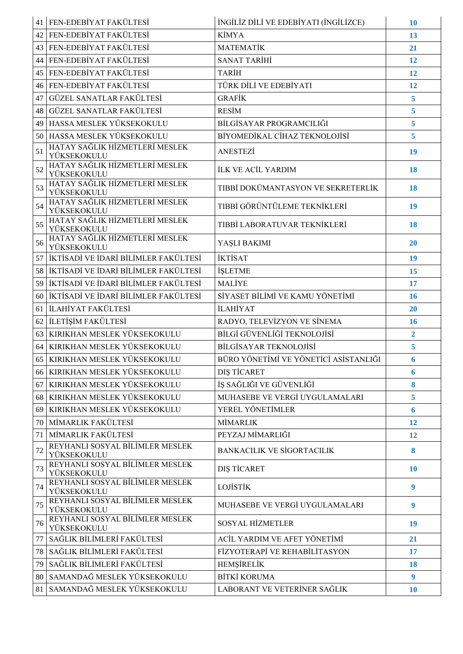|    | 41   FEN-EDEBİYAT FAKÜLTESİ                    | İNGİLİZ DİLİ VE EDEBİYATI (İNGİLİZCE) | <b>10</b>        |
|----|------------------------------------------------|---------------------------------------|------------------|
| 42 | FEN-EDEBİYAT FAKÜLTESİ                         | <b>KİMYA</b>                          | 13               |
|    | 43 FEN-EDEBİYAT FAKÜLTESİ                      | <b>MATEMATİK</b>                      | 21               |
| 44 | FEN-EDEBİYAT FAKÜLTESİ                         | <b>SANAT TARİHİ</b>                   | 12               |
| 45 | FEN-EDEBİYAT FAKÜLTESİ                         | <b>TARİH</b>                          | 12               |
|    | 46 FEN-EDEBİYAT FAKÜLTESİ                      | TÜRK DİLİ VE EDEBİYATI                | 12               |
| 47 | GÜZEL SANATLAR FAKÜLTESİ                       | <b>GRAFİK</b>                         | 5                |
| 48 | GÜZEL SANATLAR FAKÜLTESİ                       | <b>RESİM</b>                          | 5                |
| 49 | HASSA MESLEK YÜKSEKOKULU                       | BİLGİSAYAR PROGRAMCILIĞI              | 5                |
| 50 | HASSA MESLEK YÜKSEKOKULU                       | BİYOMEDİKAL CİHAZ TEKNOLOJİSİ         | 5                |
| 51 | HATAY SAĞLIK HİZMETLERİ MESLEK<br>YÜKSEKOKULU  | <b>ANESTEZİ</b>                       | 19               |
| 52 | HATAY SAĞLIK HİZMETLERİ MESLEK<br>YÜKSEKOKULU  | <b>İLK VE ACİL YARDIM</b>             | 18               |
| 53 | HATAY SAĞLIK HİZMETLERİ MESLEK<br>YÜKSEKOKULU  | TIBBİ DOKÜMANTASYON VE SEKRETERLİK    | 18               |
| 54 | HATAY SAĞLIK HİZMETLERİ MESLEK<br>YÜKSEKOKULU  | TIBBİ GÖRÜNTÜLEME TEKNİKLERİ          | 19               |
| 55 | HATAY SAĞLIK HİZMETLERİ MESLEK<br>YÜKSEKOKULU  | TIBBİ LABORATUVAR TEKNİKLERİ          | 18               |
| 56 | HATAY SAĞLIK HİZMETLERİ MESLEK<br>YÜKSEKOKULU  | YAŞLI BAKIMI                          | <b>20</b>        |
| 57 | İKTİSADİ VE İDARİ BİLİMLER FAKÜLTESİ           | <b>İKTİSAT</b>                        | 19               |
| 58 | İKTİSADİ VE İDARİ BİLİMLER FAKÜLTESİ           | <b>İŞLETME</b>                        | 15               |
| 59 | İKTİSADİ VE İDARİ BİLİMLER FAKÜLTESİ           | <b>MALİYE</b>                         | 17               |
| 60 | İKTİSADİ VE İDARİ BİLİMLER FAKÜLTESİ           | SİYASET BİLİMİ VE KAMU YÖNETİMİ       | 16               |
| 61 | İLAHİYAT FAKÜLTESİ                             | <b>İLAHİYAT</b>                       | 20               |
| 62 | İLETİŞİM FAKÜLTESİ                             | RADYO, TELEVİZYON VE SİNEMA           | 16               |
| 63 | KIRIKHAN MESLEK YÜKSEKOKULU                    | BİLGİ GÜVENLİĞİ TEKNOLOJİSİ           | $\overline{2}$   |
| 64 | KIRIKHAN MESLEK YÜKSEKOKULU                    | BİLGİSAYAR TEKNOLOJİSİ                | 5 <sup>5</sup>   |
| 65 | KIRIKHAN MESLEK YÜKSEKOKULU                    | BÜRO YÖNETİMİ VE YÖNETİCİ ASİSTANLIĞI | 6                |
| 66 | KIRIKHAN MESLEK YÜKSEKOKULU                    | DIS TİCARET                           | 6                |
| 67 | KIRIKHAN MESLEK YÜKSEKOKULU                    | İŞ SAĞLIĞI VE GÜVENLİĞİ               | 8                |
| 68 | KIRIKHAN MESLEK YÜKSEKOKULU                    | MUHASEBE VE VERGİ UYGULAMALARI        | 5                |
| 69 | KIRIKHAN MESLEK YÜKSEKOKULU                    | YEREL YÖNETİMLER                      | 6                |
| 70 | MİMARLIK FAKÜLTESİ                             | <b>MİMARLIK</b>                       | 12               |
| 71 | MİMARLIK FAKÜLTESİ                             | PEYZAJ MİMARLIĞI                      | 12               |
| 72 | REYHANLI SOSYAL BİLİMLER MESLEK<br>YÜKSEKOKULU | <b>BANKACILIK VE SİGORTACILIK</b>     | 8                |
| 73 | REYHANLI SOSYAL BİLİMLER MESLEK<br>YÜKSEKOKULU | DIŞ TİCARET                           | <b>10</b>        |
| 74 | REYHANLI SOSYAL BİLİMLER MESLEK<br>YÜKSEKOKULU | LOJİSTİK                              | $\boldsymbol{9}$ |
| 75 | REYHANLI SOSYAL BİLİMLER MESLEK<br>YÜKSEKOKULU | MUHASEBE VE VERGİ UYGULAMALARI        | $\boldsymbol{9}$ |
| 76 | REYHANLI SOSYAL BİLİMLER MESLEK<br>YÜKSEKOKULU | <b>SOSYAL HİZMETLER</b>               | 19               |
| 77 | SAĞLIK BİLİMLERİ FAKÜLTESİ                     | ACİL YARDIM VE AFET YÖNETİMİ          | 21               |
| 78 | SAĞLIK BİLİMLERİ FAKÜLTESİ                     | FİZYOTERAPİ VE REHABİLİTASYON         | 17               |
| 79 | SAĞLIK BİLİMLERİ FAKÜLTESİ                     | HEMŞİRELİK                            | 18               |
| 80 | SAMANDAĞ MESLEK YÜKSEKOKULU                    | <b>BİTKİ KORUMA</b>                   | 9                |
|    | 81 SAMANDAĞ MESLEK YÜKSEKOKULU                 | LABORANT VE VETERİNER SAĞLIK          | <b>10</b>        |